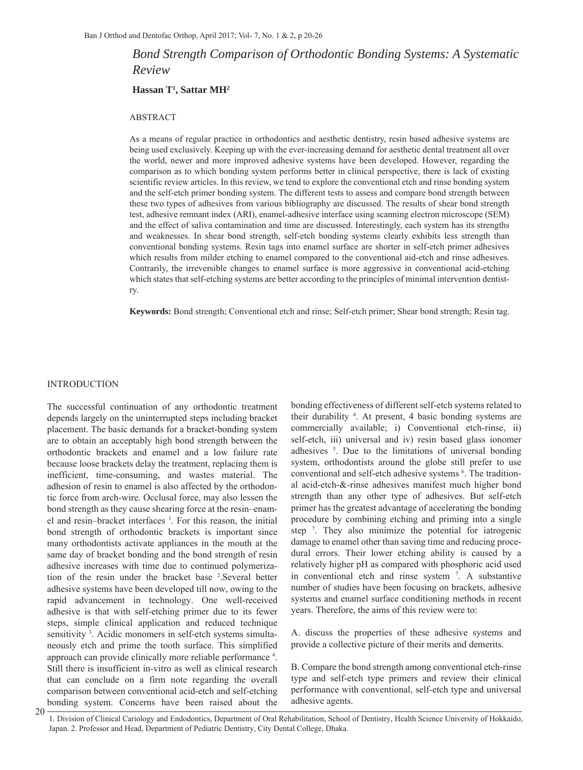# *Bond Strength Comparison of Orthodontic Bonding Systems: A Systematic Review*

#### **Hassan T1 , Sattar MH2**

#### ABSTRACT

As a means of regular practice in orthodontics and aesthetic dentistry, resin based adhesive systems are being used exclusively. Keeping up with the ever-increasing demand for aesthetic dental treatment all over the world, newer and more improved adhesive systems have been developed. However, regarding the comparison as to which bonding system performs better in clinical perspective, there is lack of existing scientific review articles. In this review, we tend to explore the conventional etch and rinse bonding system and the self-etch primer bonding system. The different tests to assess and compare bond strength between these two types of adhesives from various bibliography are discussed. The results of shear bond strength test, adhesive remnant index (ARI), enamel-adhesive interface using scanning electron microscope (SEM) and the effect of saliva contamination and time are discussed. Interestingly, each system has its strengths and weaknesses. In shear bond strength, self-etch bonding systems clearly exhibits less strength than conventional bonding systems. Resin tags into enamel surface are shorter in self-etch primer adhesives which results from milder etching to enamel compared to the conventional aid-etch and rinse adhesives. Contrarily, the irreversible changes to enamel surface is more aggressive in conventional acid-etching which states that self-etching systems are better according to the principles of minimal intervention dentistry.

**Keywords:** Bond strength; Conventional etch and rinse; Self-etch primer; Shear bond strength; Resin tag.

# INTRODUCTION

The successful continuation of any orthodontic treatment depends largely on the uninterrupted steps including bracket placement. The basic demands for a bracket-bonding system are to obtain an acceptably high bond strength between the orthodontic brackets and enamel and a low failure rate because loose brackets delay the treatment, replacing them is inefficient, time-consuming, and wastes material. The adhesion of resin to enamel is also affected by the orthodontic force from arch-wire. Occlusal force, may also lessen the bond strength as they cause shearing force at the resin–enamel and resin–bracket interfaces <sup>1</sup>. For this reason, the initial bond strength of orthodontic brackets is important since many orthodontists activate appliances in the mouth at the same day of bracket bonding and the bond strength of resin adhesive increases with time due to continued polymerization of the resin under the bracket base 2 .Several better adhesive systems have been developed till now, owing to the rapid advancement in technology. One well-received adhesive is that with self-etching primer due to its fewer steps, simple clinical application and reduced technique sensitivity<sup>3</sup>. Acidic monomers in self-etch systems simultaneously etch and prime the tooth surface. This simplified approach can provide clinically more reliable performance<sup>4</sup>. Still there is insufficient in-vitro as well as clinical research that can conclude on a firm note regarding the overall comparison between conventional acid-etch and self-etching bonding system. Concerns have been raised about the

bonding effectiveness of different self-etch systems related to their durability 4 . At present, 4 basic bonding systems are commercially available; i) Conventional etch-rinse, ii) self-etch, iii) universal and iv) resin based glass ionomer adhesives <sup>5</sup>. Due to the limitations of universal bonding system, orthodontists around the globe still prefer to use conventional and self-etch adhesive systems <sup>6</sup>. The traditional acid-etch-&-rinse adhesives manifest much higher bond strength than any other type of adhesives. But self-etch primer has the greatest advantage of accelerating the bonding procedure by combining etching and priming into a single step 7 . They also minimize the potential for iatrogenic damage to enamel other than saving time and reducing procedural errors. Their lower etching ability is caused by a relatively higher pH as compared with phosphoric acid used in conventional etch and rinse system 7 . A substantive number of studies have been focusing on brackets, adhesive systems and enamel surface conditioning methods in recent years. Therefore, the aims of this review were to:

A. discuss the properties of these adhesive systems and provide a collective picture of their merits and demerits.

B. Compare the bond strength among conventional etch-rinse type and self-etch type primers and review their clinical performance with conventional, self-etch type and universal adhesive agents.

20

<sup>1.</sup> Division of Clinical Cariology and Endodontics, Department of Oral Rehabilitation, School of Dentistry, Health Science University of Hokkaido, Japan. 2. Professor and Head, Department of Pediatric Dentistry, City Dental College, Dhaka.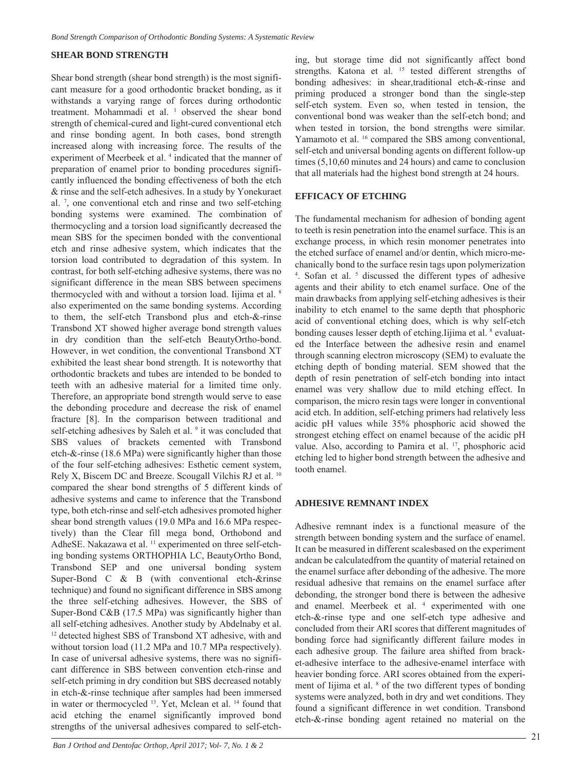# **SHEAR BOND STRENGTH**

Shear bond strength (shear bond strength) is the most significant measure for a good orthodontic bracket bonding, as it withstands a varying range of forces during orthodontic treatment. Mohammadi et al. <sup>1</sup> observed the shear bond strength of chemical-cured and light-cured conventional etch and rinse bonding agent. In both cases, bond strength increased along with increasing force. The results of the experiment of Meerbeek et al.<sup>4</sup> indicated that the manner of preparation of enamel prior to bonding procedures significantly influenced the bonding effectiveness of both the etch & rinse and the self-etch adhesives. In a study by Yonekuraet al. 7 , one conventional etch and rinse and two self-etching bonding systems were examined. The combination of thermocycling and a torsion load significantly decreased the mean SBS for the specimen bonded with the conventional etch and rinse adhesive system, which indicates that the torsion load contributed to degradation of this system. In contrast, for both self-etching adhesive systems, there was no significant difference in the mean SBS between specimens thermocycled with and without a torsion load. Iijima et al. 8 also experimented on the same bonding systems. According to them, the self-etch Transbond plus and etch-&-rinse Transbond XT showed higher average bond strength values in dry condition than the self-etch BeautyOrtho-bond. However, in wet condition, the conventional Transbond XT exhibited the least shear bond strength. It is noteworthy that orthodontic brackets and tubes are intended to be bonded to teeth with an adhesive material for a limited time only. Therefore, an appropriate bond strength would serve to ease the debonding procedure and decrease the risk of enamel fracture [8]. In the comparison between traditional and self-etching adhesives by Saleh et al. <sup>9</sup> it was concluded that SBS values of brackets cemented with Transbond etch-&-rinse (18.6 MPa) were significantly higher than those of the four self-etching adhesives: Esthetic cement system, Rely X, Biscem DC and Breeze. Scougall Vilchis RJ et al. 10 compared the shear bond strengths of 5 different kinds of adhesive systems and came to inference that the Transbond type, both etch-rinse and self-etch adhesives promoted higher shear bond strength values (19.0 MPa and 16.6 MPa respectively) than the Clear fill mega bond, Orthobond and AdheSE. Nakazawa et al. <sup>11</sup> experimented on three self-etching bonding systems ORTHOPHIA LC, BeautyOrtho Bond, Transbond SEP and one universal bonding system Super-Bond C & B (with conventional etch-&rinse technique) and found no significant difference in SBS among the three self-etching adhesives. However, the SBS of Super-Bond C&B (17.5 MPa) was significantly higher than all self-etching adhesives. Another study by Abdelnaby et al. <sup>12</sup> detected highest SBS of Transbond XT adhesive, with and without torsion load (11.2 MPa and 10.7 MPa respectively). In case of universal adhesive systems, there was no significant difference in SBS between convention etch-rinse and self-etch priming in dry condition but SBS decreased notably in etch-&-rinse technique after samples had been immersed in water or thermocycled 13. Yet, Mclean et al. 14 found that acid etching the enamel significantly improved bond strengths of the universal adhesives compared to self-etching, but storage time did not significantly affect bond strengths. Katona et al. <sup>15</sup> tested different strengths of bonding adhesives: in shear,traditional etch-&-rinse and priming produced a stronger bond than the single-step self-etch system. Even so, when tested in tension, the conventional bond was weaker than the self-etch bond; and when tested in torsion, the bond strengths were similar. Yamamoto et al. <sup>16</sup> compared the SBS among conventional, self-etch and universal bonding agents on different follow-up times (5,10,60 minutes and 24 hours) and came to conclusion that all materials had the highest bond strength at 24 hours.

# **EFFICACY OF ETCHING**

The fundamental mechanism for adhesion of bonding agent to teeth is resin penetration into the enamel surface. This is an exchange process, in which resin monomer penetrates into the etched surface of enamel and/or dentin, which micro-mechanically bond to the surface resin tags upon polymerization 4 . Sofan et al. 5 discussed the different types of adhesive agents and their ability to etch enamel surface. One of the main drawbacks from applying self-etching adhesives is their inability to etch enamel to the same depth that phosphoric acid of conventional etching does, which is why self-etch bonding causes lesser depth of etching. Iijima et al. <sup>8</sup> evaluated the Interface between the adhesive resin and enamel through scanning electron microscopy (SEM) to evaluate the etching depth of bonding material. SEM showed that the depth of resin penetration of self-etch bonding into intact enamel was very shallow due to mild etching effect. In comparison, the micro resin tags were longer in conventional acid etch. In addition, self-etching primers had relatively less acidic pH values while 35% phosphoric acid showed the strongest etching effect on enamel because of the acidic pH value. Also, according to Pamira et al. 17, phosphoric acid etching led to higher bond strength between the adhesive and tooth enamel.

#### **ADHESIVE REMNANT INDEX**

Adhesive remnant index is a functional measure of the strength between bonding system and the surface of enamel. It can be measured in different scalesbased on the experiment andcan be calculatedfrom the quantity of material retained on the enamel surface after debonding of the adhesive. The more residual adhesive that remains on the enamel surface after debonding, the stronger bond there is between the adhesive and enamel. Meerbeek et al. 4 experimented with one etch-&-rinse type and one self-etch type adhesive and concluded from their ARI scores that different magnitudes of bonding force had significantly different failure modes in each adhesive group. The failure area shifted from bracket-adhesive interface to the adhesive-enamel interface with heavier bonding force. ARI scores obtained from the experiment of Iijima et al. <sup>8</sup> of the two different types of bonding systems were analyzed, both in dry and wet conditions. They found a significant difference in wet condition. Transbond etch-&-rinse bonding agent retained no material on the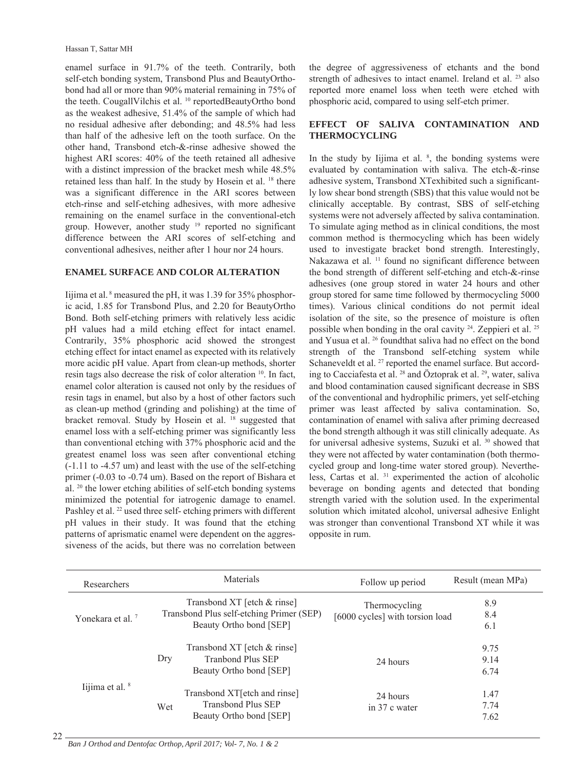enamel surface in 91.7% of the teeth. Contrarily, both self-etch bonding system, Transbond Plus and BeautyOrthobond had all or more than 90% material remaining in 75% of the teeth. CougallVilchis et al. <sup>10</sup> reportedBeautyOrtho bond as the weakest adhesive, 51.4% of the sample of which had no residual adhesive after debonding; and 48.5% had less than half of the adhesive left on the tooth surface. On the other hand, Transbond etch-&-rinse adhesive showed the highest ARI scores: 40% of the teeth retained all adhesive with a distinct impression of the bracket mesh while 48.5% retained less than half. In the study by Hosein et al. 18 there was a significant difference in the ARI scores between etch-rinse and self-etching adhesives, with more adhesive remaining on the enamel surface in the conventional-etch group. However, another study 19 reported no significant difference between the ARI scores of self-etching and conventional adhesives, neither after 1 hour nor 24 hours.

#### **ENAMEL SURFACE AND COLOR ALTERATION**

Iijima et al. 8 measured the pH, it was 1.39 for 35% phosphoric acid, 1.85 for Transbond Plus, and 2.20 for BeautyOrtho Bond. Both self-etching primers with relatively less acidic pH values had a mild etching effect for intact enamel. Contrarily, 35% phosphoric acid showed the strongest etching effect for intact enamel as expected with its relatively more acidic pH value. Apart from clean-up methods, shorter resin tags also decrease the risk of color alteration 10. In fact, enamel color alteration is caused not only by the residues of resin tags in enamel, but also by a host of other factors such as clean-up method (grinding and polishing) at the time of bracket removal. Study by Hosein et al. <sup>18</sup> suggested that enamel loss with a self-etching primer was significantly less than conventional etching with 37% phosphoric acid and the greatest enamel loss was seen after conventional etching (-1.11 to -4.57 um) and least with the use of the self-etching primer (-0.03 to -0.74 um). Based on the report of Bishara et al. 20 the lower etching abilities of self-etch bonding systems minimized the potential for iatrogenic damage to enamel. Pashley et al. <sup>22</sup> used three self- etching primers with different pH values in their study. It was found that the etching patterns of aprismatic enamel were dependent on the aggressiveness of the acids, but there was no correlation between the degree of aggressiveness of etchants and the bond strength of adhesives to intact enamel. Ireland et al. <sup>23</sup> also reported more enamel loss when teeth were etched with phosphoric acid, compared to using self-etch primer.

# **EFFECT OF SALIVA CONTAMINATION AND THERMOCYCLING**

In the study by Iijima et al.  $\frac{8}{3}$ , the bonding systems were evaluated by contamination with saliva. The etch-&-rinse adhesive system, Transbond XTexhibited such a significantly low shear bond strength (SBS) that this value would not be clinically acceptable. By contrast, SBS of self-etching systems were not adversely affected by saliva contamination. To simulate aging method as in clinical conditions, the most common method is thermocycling which has been widely used to investigate bracket bond strength. Interestingly, Nakazawa et al.<sup>11</sup> found no significant difference between the bond strength of different self-etching and etch-&-rinse adhesives (one group stored in water 24 hours and other group stored for same time followed by thermocycling 5000 times). Various clinical conditions do not permit ideal isolation of the site, so the presence of moisture is often possible when bonding in the oral cavity 24. Zeppieri et al. 25 and Yusua et al. 26 foundthat saliva had no effect on the bond strength of the Transbond self-etching system while Schaneveldt et al.<sup>27</sup> reported the enamel surface. But according to Cacciafesta et al. 28 and Öztoprak et al. 29, water, saliva and blood contamination caused significant decrease in SBS of the conventional and hydrophilic primers, yet self-etching primer was least affected by saliva contamination. So, contamination of enamel with saliva after priming decreased the bond strength although it was still clinically adequate. As for universal adhesive systems, Suzuki et al.<sup>30</sup> showed that they were not affected by water contamination (both thermocycled group and long-time water stored group). Nevertheless, Cartas et al. 31 experimented the action of alcoholic beverage on bonding agents and detected that bonding strength varied with the solution used. In the experimental solution which imitated alcohol, universal adhesive Enlight was stronger than conventional Transbond XT while it was opposite in rum.

| Researchers                  | Materials                                                                                          | Follow up period                                 | Result (mean MPa)    |
|------------------------------|----------------------------------------------------------------------------------------------------|--------------------------------------------------|----------------------|
| Yonekara et al. <sup>7</sup> | Transbond XT [etch & rinse]<br>Transbond Plus self-etching Primer (SEP)<br>Beauty Ortho bond [SEP] | Thermocycling<br>[6000 cycles] with torsion load | 8.9<br>8.4<br>6.1    |
|                              | Transbond XT [etch & rinse]<br>Dry<br><b>Tranbond Plus SEP</b><br>Beauty Ortho bond [SEP]          | 24 hours                                         | 9.75<br>9.14<br>6.74 |
| Iijima et al. <sup>8</sup>   | Transbond XT[etch and rinse]<br><b>Transbond Plus SEP</b><br>Wet<br>Beauty Ortho bond [SEP]        | 24 hours<br>in 37 c water                        | 1.47<br>7.74<br>7.62 |

22

*Ban J Orthod and Dentofac Orthop, April 2017; Vol- 7, No. 1 & 2*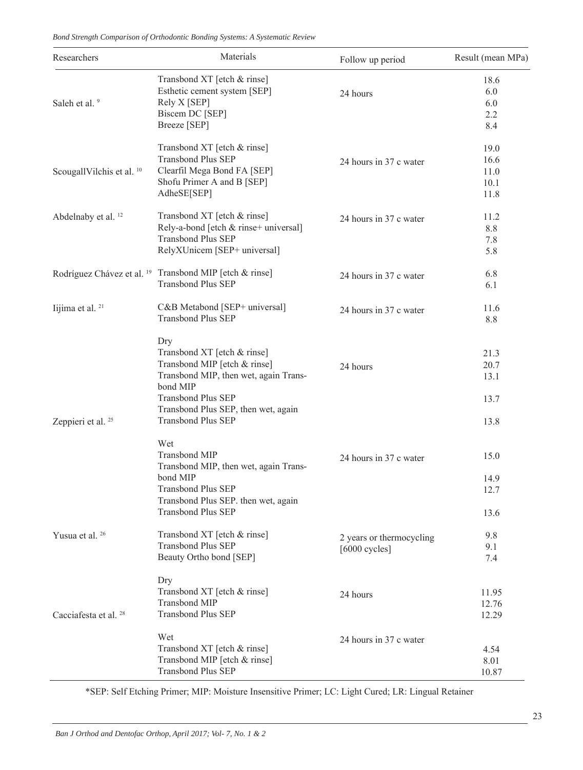*Bond Strength Comparison of Orthodontic Bonding Systems: A Systematic Review*

| Researchers                           | Materials                                                                                                                                                                                                                | Follow up period                            | Result (mean MPa)                    |
|---------------------------------------|--------------------------------------------------------------------------------------------------------------------------------------------------------------------------------------------------------------------------|---------------------------------------------|--------------------------------------|
| Saleh et al. 9                        | Transbond XT [etch $&$ rinse]<br>Esthetic cement system [SEP]<br>Rely X [SEP]<br>Biscem DC [SEP]<br>Breeze [SEP]                                                                                                         | 24 hours                                    | 18.6<br>6.0<br>6.0<br>2.2<br>8.4     |
| ScougallVilchis et al. <sup>10</sup>  | Transbond XT [etch & rinse]<br><b>Transbond Plus SEP</b><br>Clearfil Mega Bond FA [SEP]<br>Shofu Primer A and B [SEP]<br>AdheSE[SEP]                                                                                     | 24 hours in 37 c water                      | 19.0<br>16.6<br>11.0<br>10.1<br>11.8 |
| Abdelnaby et al. <sup>12</sup>        | Transbond XT [etch & rinse]<br>Rely-a-bond [etch & rinse+ universal]<br><b>Transbond Plus SEP</b><br>RelyXUnicem [SEP+ universal]                                                                                        | 24 hours in 37 c water                      | 11.2<br>8.8<br>7.8<br>5.8            |
| Rodríguez Chávez et al. <sup>19</sup> | Transbond MIP [etch & rinse]<br><b>Transbond Plus SEP</b>                                                                                                                                                                | 24 hours in 37 c water                      | 6.8<br>6.1                           |
| Iijima et al. <sup>21</sup>           | C&B Metabond [SEP+ universal]<br><b>Transbond Plus SEP</b>                                                                                                                                                               | 24 hours in 37 c water                      | 11.6<br>8.8                          |
| Zeppieri et al. <sup>25</sup>         | Dry<br>Transbond XT [etch & rinse]<br>Transbond MIP [etch & rinse]<br>Transbond MIP, then wet, again Trans-<br>bond MIP<br><b>Transbond Plus SEP</b><br>Transbond Plus SEP, then wet, again<br><b>Transbond Plus SEP</b> | 24 hours                                    | 21.3<br>20.7<br>13.1<br>13.7<br>13.8 |
|                                       | Wet<br><b>Transbond MIP</b><br>Transbond MIP, then wet, again Trans-<br>bond MIP<br><b>Transbond Plus SEP</b><br>Transbond Plus SEP. then wet, again<br><b>Transbond Plus SEP</b>                                        | 24 hours in 37 c water                      | 15.0<br>14.9<br>12.7<br>13.6         |
| Yusua et al. <sup>26</sup>            | Transbond XT [etch & rinse]<br><b>Transbond Plus SEP</b><br>Beauty Ortho bond [SEP]                                                                                                                                      | 2 years or thermocycling<br>$[6000$ cycles] | 9.8<br>9.1<br>7.4                    |
| Cacciafesta et al. <sup>28</sup>      | Dry<br>Transbond XT [etch & rinse]<br><b>Transbond MIP</b><br><b>Transbond Plus SEP</b>                                                                                                                                  | 24 hours                                    | 11.95<br>12.76<br>12.29              |
|                                       | Wet<br>Transbond XT [etch & rinse]<br>Transbond MIP [etch & rinse]<br><b>Transbond Plus SEP</b>                                                                                                                          | 24 hours in 37 c water                      | 4.54<br>8.01<br>10.87                |

\*SEP: Self Etching Primer; MIP: Moisture Insensitive Primer; LC: Light Cured; LR: Lingual Retainer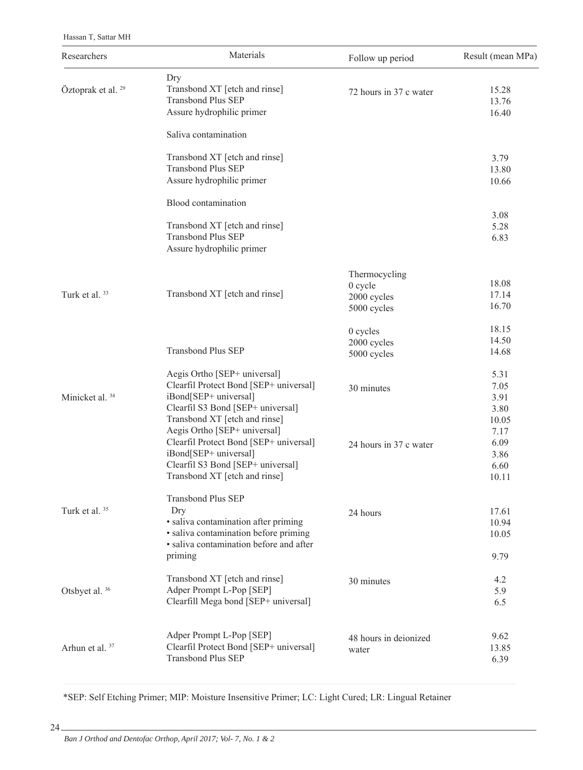Hassan T, Sattar MH

| Researchers                   | Materials                                                                                                                                                                                              | Follow up period                                       | Result (mean MPa)                              |
|-------------------------------|--------------------------------------------------------------------------------------------------------------------------------------------------------------------------------------------------------|--------------------------------------------------------|------------------------------------------------|
| Öztoprak et al. <sup>29</sup> | Dry<br>Transbond XT [etch and rinse]<br><b>Transbond Plus SEP</b><br>Assure hydrophilic primer                                                                                                         | 72 hours in 37 c water                                 | 15.28<br>13.76<br>16.40                        |
|                               | Saliva contamination                                                                                                                                                                                   |                                                        |                                                |
|                               | Transbond XT [etch and rinse]<br><b>Transbond Plus SEP</b><br>Assure hydrophilic primer                                                                                                                |                                                        | 3.79<br>13.80<br>10.66                         |
|                               | Blood contamination                                                                                                                                                                                    |                                                        |                                                |
|                               | Transbond XT [etch and rinse]<br><b>Transbond Plus SEP</b><br>Assure hydrophilic primer                                                                                                                |                                                        | 3.08<br>5.28<br>6.83                           |
| Turk et al. 33                | Transbond XT [etch and rinse]                                                                                                                                                                          | Thermocycling<br>0 cycle<br>2000 cycles<br>5000 cycles | 18.08<br>17.14<br>16.70                        |
|                               | <b>Transbond Plus SEP</b>                                                                                                                                                                              | 0 cycles<br>2000 cycles<br>5000 cycles                 | 18.15<br>14.50<br>14.68                        |
| Minicket al. <sup>34</sup>    | Aegis Ortho [SEP+ universal]<br>Clearfil Protect Bond [SEP+ universal]<br>iBond[SEP+ universal]<br>Clearfil S3 Bond [SEP+ universal]                                                                   | 30 minutes                                             | 5.31<br>7.05<br>3.91<br>3.80                   |
|                               | Transbond XT [etch and rinse]<br>Aegis Ortho [SEP+ universal]<br>Clearfil Protect Bond [SEP+ universal]<br>iBond[SEP+ universal]<br>Clearfil S3 Bond [SEP+ universal]<br>Transbond XT [etch and rinse] | 24 hours in 37 c water                                 | 10.05<br>7.17<br>6.09<br>3.86<br>6.60<br>10.11 |
| Turk et al. 35                | <b>Transbond Plus SEP</b><br>Dry<br>· saliva contamination after priming<br>· saliva contamination before priming<br>· saliva contamination before and after                                           | 24 hours                                               | 17.61<br>10.94<br>10.05                        |
|                               | priming                                                                                                                                                                                                |                                                        | 9.79                                           |
| Otsbyet al. 36                | Transbond XT [etch and rinse]<br>Adper Prompt L-Pop [SEP]<br>Clearfill Mega bond [SEP+ universal]                                                                                                      | 30 minutes                                             | 4.2<br>5.9<br>6.5                              |
| Arhun et al. <sup>37</sup>    | Adper Prompt L-Pop [SEP]<br>Clearfil Protect Bond [SEP+ universal]<br><b>Transbond Plus SEP</b>                                                                                                        | 48 hours in deionized<br>water                         | 9.62<br>13.85<br>6.39                          |

\*SEP: Self Etching Primer; MIP: Moisture Insensitive Primer; LC: Light Cured; LR: Lingual Retainer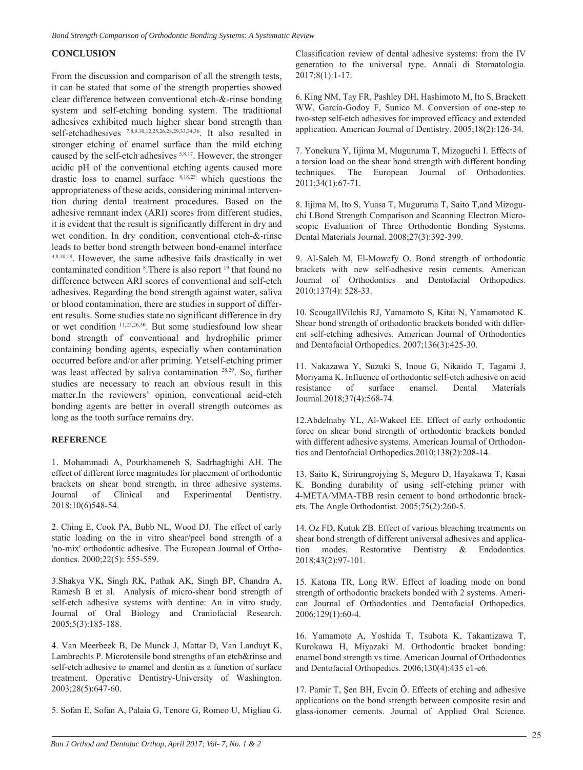# **CONCLUSION**

From the discussion and comparison of all the strength tests, it can be stated that some of the strength properties showed clear difference between conventional etch-&-rinse bonding system and self-etching bonding system. The traditional adhesives exhibited much higher shear bond strength than self-etchadhesives 7,8,9,10,12,25,26,28,29,33,34,36. It also resulted in stronger etching of enamel surface than the mild etching caused by the self-etch adhesives 5,8,17. However, the stronger acidic pH of the conventional etching agents caused more drastic loss to enamel surface 8,18,23 which questions the appropriateness of these acids, considering minimal intervention during dental treatment procedures. Based on the adhesive remnant index (ARI) scores from different studies, it is evident that the result is significantly different in dry and wet condition. In dry condition, conventional etch-&-rinse leads to better bond strength between bond-enamel interface 4,8,10,18. However, the same adhesive fails drastically in wet contaminated condition <sup>8</sup>. There is also report <sup>19</sup> that found no difference between ARI scores of conventional and self-etch adhesives. Regarding the bond strength against water, saliva or blood contamination, there are studies in support of different results. Some studies state no significant difference in dry or wet condition 11,25,26,30. But some studiesfound low shear bond strength of conventional and hydrophilic primer containing bonding agents, especially when contamination occurred before and/or after priming. Yetself-etching primer was least affected by saliva contamination 28,29. So, further studies are necessary to reach an obvious result in this matter.In the reviewers' opinion, conventional acid-etch bonding agents are better in overall strength outcomes as long as the tooth surface remains dry.

#### **REFERENCE**

1. Mohammadi A, Pourkhameneh S, Sadrhaghighi AH. The effect of different force magnitudes for placement of orthodontic brackets on shear bond strength, in three adhesive systems. Journal of Clinical and Experimental Dentistry. 2018;10(6)548-54.

2. Ching E, Cook PA, Bubb NL, Wood DJ. The effect of early static loading on the in vitro shear/peel bond strength of a 'no-mix' orthodontic adhesive. The European Journal of Orthodontics. 2000;22(5): 555-559.

3.Shakya VK, Singh RK, Pathak AK, Singh BP, Chandra A, Ramesh B et al. Analysis of micro-shear bond strength of self-etch adhesive systems with dentine: An in vitro study. Journal of Oral Biology and Craniofacial Research. 2005;5(3):185-188.

4. Van Meerbeek B, De Munck J, Mattar D, Van Landuyt K, Lambrechts P. Microtensile bond strengths of an etch&rinse and self-etch adhesive to enamel and dentin as a function of surface treatment. Operative Dentistry-University of Washington. 2003;28(5):647-60.

5. Sofan E, Sofan A, Palaia G, Tenore G, Romeo U, Migliau G.

Classification review of dental adhesive systems: from the IV generation to the universal type. Annali di Stomatologia. 2017;8(1):1-17.

6. King NM, Tay FR, Pashley DH, Hashimoto M, Ito S, Brackett WW, García-Godoy F, Sunico M. Conversion of one-step to two-step self-etch adhesives for improved efficacy and extended application. American Journal of Dentistry. 2005;18(2):126-34.

7. Yonekura Y, Iijima M, Muguruma T, Mizoguchi I. Effects of a torsion load on the shear bond strength with different bonding techniques. The European Journal of Orthodontics. 2011;34(1):67-71.

8. Iijima M, Ito S, Yuasa T, Muguruma T, Saito T,and Mizoguchi I.Bond Strength Comparison and Scanning Electron Microscopic Evaluation of Three Orthodontic Bonding Systems. Dental Materials Journal. 2008;27(3):392-399.

9. Al-Saleh M, El-Mowafy O. Bond strength of orthodontic brackets with new self-adhesive resin cements. American Journal of Orthodontics and Dentofacial Orthopedics. 2010;137(4): 528-33.

10. ScougallVilchis RJ, Yamamoto S, Kitai N, Yamamotod K. Shear bond strength of orthodontic brackets bonded with different self-etching adhesives. American Journal of Orthodontics and Dentofacial Orthopedics. 2007;136(3):425-30.

11. Nakazawa Y, Suzuki S, Inoue G, Nikaido T, Tagami J, Moriyama K. Influence of orthodontic self-etch adhesive on acid resistance of surface enamel. Dental Materials Journal.2018;37(4):568-74.

12.Abdelnaby YL, Al-Wakeel EE. Effect of early orthodontic force on shear bond strength of orthodontic brackets bonded with different adhesive systems. American Journal of Orthodontics and Dentofacial Orthopedics.2010;138(2):208-14.

13. Saito K, Sirirungrojying S, Meguro D, Hayakawa T, Kasai K. Bonding durability of using self-etching primer with 4-META/MMA-TBB resin cement to bond orthodontic brackets. The Angle Orthodontist. 2005;75(2):260-5.

14. Oz FD, Kutuk ZB. Effect of various bleaching treatments on shear bond strength of different universal adhesives and application modes. Restorative Dentistry & Endodontics. 2018;43(2):97-101.

15. Katona TR, Long RW. Effect of loading mode on bond strength of orthodontic brackets bonded with 2 systems. American Journal of Orthodontics and Dentofacial Orthopedics. 2006;129(1):60-4.

16. Yamamoto A, Yoshida T, Tsubota K, Takamizawa T, Kurokawa H, Miyazaki M. Orthodontic bracket bonding: enamel bond strength vs time. American Journal of Orthodontics and Dentofacial Orthopedics. 2006;130(4):435 e1-e6.

17. Pamir T, Şen BH, Evcin Ö. Effects of etching and adhesive applications on the bond strength between composite resin and glass-ionomer cements. Journal of Applied Oral Science.